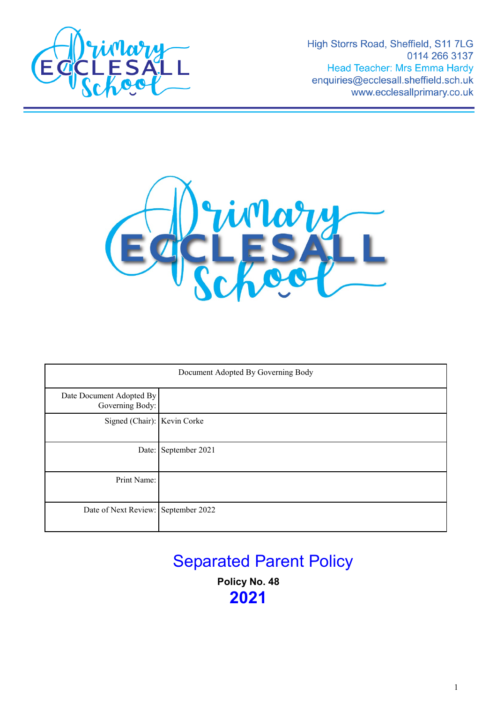

High Storrs Road, Sheffield, S11 7LG 0114 266 3137 Head Teacher: Mrs Emma Hardy enquiries@ecclesall.sheffield.sch.uk www.ecclesallprimary.co.uk



| Document Adopted By Governing Body          |                      |
|---------------------------------------------|----------------------|
| Date Document Adopted By<br>Governing Body: |                      |
| Signed (Chair): Kevin Corke                 |                      |
|                                             | Date: September 2021 |
| Print Name:                                 |                      |
| Date of Next Review: September 2022         |                      |

# Separated Parent Policy

**Policy No. 48 2021**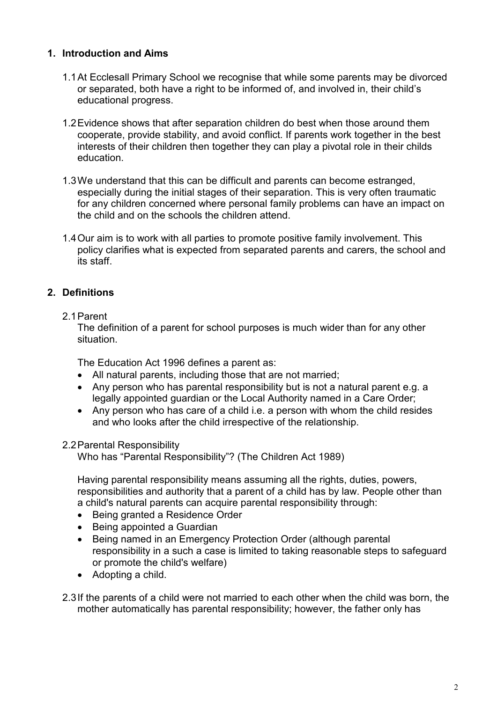# **1. Introduction and Aims**

- 1.1At Ecclesall Primary School we recognise that while some parents may be divorced or separated, both have a right to be informed of, and involved in, their child's educational progress.
- 1.2Evidence shows that after separation children do best when those around them cooperate, provide stability, and avoid conflict. If parents work together in the best interests of their children then together they can play a pivotal role in their childs education.
- 1.3We understand that this can be difficult and parents can become estranged, especially during the initial stages of their separation. This is very often traumatic for any children concerned where personal family problems can have an impact on the child and on the schools the children attend.
- 1.4Our aim is to work with all parties to promote positive family involvement. This policy clarifies what is expected from separated parents and carers, the school and its staff.

# **2. Definitions**

#### 2.1Parent

The definition of a parent for school purposes is much wider than for any other situation.

The Education Act 1996 defines a parent as:

- All natural parents, including those that are not married;
- Any person who has parental responsibility but is not a natural parent e.g. a legally appointed guardian or the Local Authority named in a Care Order;
- Any person who has care of a child i.e. a person with whom the child resides and who looks after the child irrespective of the relationship.

# 2.2Parental Responsibility

Who has "Parental Responsibility"? (The Children Act 1989)

Having parental responsibility means assuming all the rights, duties, powers, responsibilities and authority that a parent of a child has by law. People other than a child's natural parents can acquire parental responsibility through:

- Being granted a Residence Order
- Being appointed a Guardian
- Being named in an Emergency Protection Order (although parental responsibility in a such a case is limited to taking reasonable steps to safeguard or promote the child's welfare)
- Adopting a child.

2.3If the parents of a child were not married to each other when the child was born, the mother automatically has parental responsibility; however, the father only has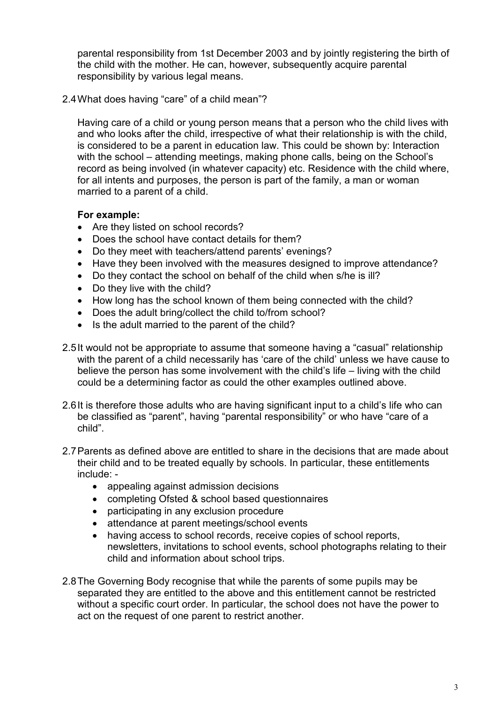parental responsibility from 1st December 2003 and by jointly registering the birth of the child with the mother. He can, however, subsequently acquire parental responsibility by various legal means.

2.4What does having "care" of a child mean"?

Having care of a child or young person means that a person who the child lives with and who looks after the child, irrespective of what their relationship is with the child, is considered to be a parent in education law. This could be shown by: Interaction with the school – attending meetings, making phone calls, being on the School's record as being involved (in whatever capacity) etc. Residence with the child where, for all intents and purposes, the person is part of the family, a man or woman married to a parent of a child.

#### **For example:**

- Are they listed on school records?
- Does the school have contact details for them?
- Do they meet with teachers/attend parents' evenings?
- Have they been involved with the measures designed to improve attendance?
- Do they contact the school on behalf of the child when s/he is ill?
- Do they live with the child?
- How long has the school known of them being connected with the child?
- Does the adult bring/collect the child to/from school?
- Is the adult married to the parent of the child?
- 2.5It would not be appropriate to assume that someone having a "casual" relationship with the parent of a child necessarily has 'care of the child' unless we have cause to believe the person has some involvement with the child's life – living with the child could be a determining factor as could the other examples outlined above.
- 2.6It is therefore those adults who are having significant input to a child's life who can be classified as "parent", having "parental responsibility" or who have "care of a child".
- 2.7Parents as defined above are entitled to share in the decisions that are made about their child and to be treated equally by schools. In particular, these entitlements include: -
	- appealing against admission decisions
	- completing Ofsted & school based questionnaires
	- participating in any exclusion procedure
	- attendance at parent meetings/school events
	- having access to school records, receive copies of school reports, newsletters, invitations to school events, school photographs relating to their child and information about school trips.
- 2.8The Governing Body recognise that while the parents of some pupils may be separated they are entitled to the above and this entitlement cannot be restricted without a specific court order. In particular, the school does not have the power to act on the request of one parent to restrict another.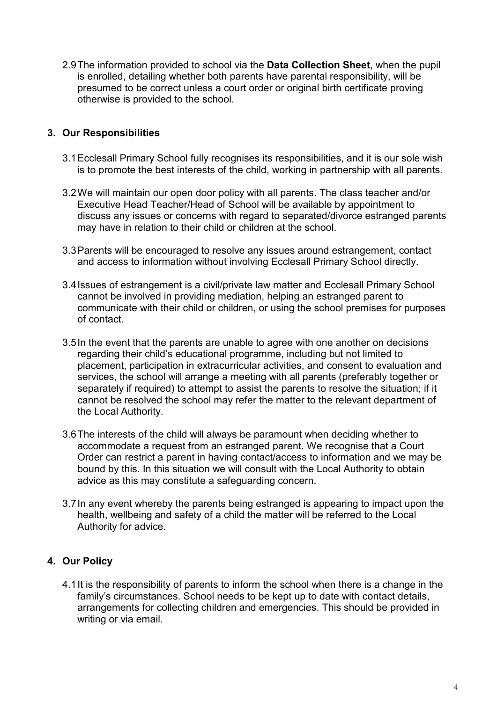2.9The information provided to school via the **Data Collection Sheet**, when the pupil is enrolled, detailing whether both parents have parental responsibility, will be presumed to be correct unless a court order or original birth certificate proving otherwise is provided to the school.

### **3. Our Responsibilities**

- 3.1Ecclesall Primary School fully recognises its responsibilities, and it is our sole wish is to promote the best interests of the child, working in partnership with all parents.
- 3.2We will maintain our open door policy with all parents. The class teacher and/or Executive Head Teacher/Head of School will be available by appointment to discuss any issues or concerns with regard to separated/divorce estranged parents may have in relation to their child or children at the school.
- 3.3Parents will be encouraged to resolve any issues around estrangement, contact and access to information without involving Ecclesall Primary School directly.
- 3.4Issues of estrangement is a civil/private law matter and Ecclesall Primary School cannot be involved in providing mediation, helping an estranged parent to communicate with their child or children, or using the school premises for purposes of contact.
- 3.5In the event that the parents are unable to agree with one another on decisions regarding their child's educational programme, including but not limited to placement, participation in extracurricular activities, and consent to evaluation and services, the school will arrange a meeting with all parents (preferably together or separately if required) to attempt to assist the parents to resolve the situation; if it cannot be resolved the school may refer the matter to the relevant department of the Local Authority.
- 3.6The interests of the child will always be paramount when deciding whether to accommodate a request from an estranged parent. We recognise that a Court Order can restrict a parent in having contact/access to information and we may be bound by this. In this situation we will consult with the Local Authority to obtain advice as this may constitute a safeguarding concern.
- 3.7In any event whereby the parents being estranged is appearing to impact upon the health, wellbeing and safety of a child the matter will be referred to the Local Authority for advice.

# **4. Our Policy**

4.1It is the responsibility of parents to inform the school when there is a change in the family's circumstances. School needs to be kept up to date with contact details, arrangements for collecting children and emergencies. This should be provided in writing or via email.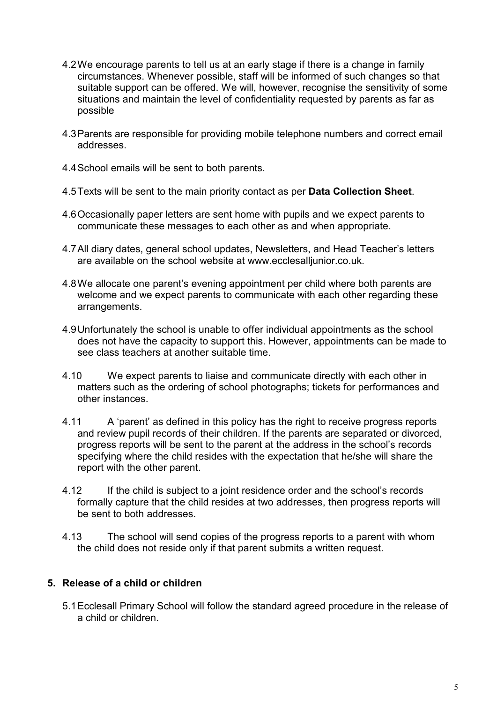- 4.2We encourage parents to tell us at an early stage if there is a change in family circumstances. Whenever possible, staff will be informed of such changes so that suitable support can be offered. We will, however, recognise the sensitivity of some situations and maintain the level of confidentiality requested by parents as far as possible
- 4.3Parents are responsible for providing mobile telephone numbers and correct email addresses.
- 4.4School emails will be sent to both parents.
- 4.5Texts will be sent to the main priority contact as per **Data Collection Sheet**.
- 4.6Occasionally paper letters are sent home with pupils and we expect parents to communicate these messages to each other as and when appropriate.
- 4.7All diary dates, general school updates, Newsletters, and Head Teacher's letters are available on the school website at www.ecclesalljunior.co.uk.
- 4.8We allocate one parent's evening appointment per child where both parents are welcome and we expect parents to communicate with each other regarding these arrangements.
- 4.9Unfortunately the school is unable to offer individual appointments as the school does not have the capacity to support this. However, appointments can be made to see class teachers at another suitable time.
- 4.10 We expect parents to liaise and communicate directly with each other in matters such as the ordering of school photographs; tickets for performances and other instances.
- 4.11 A 'parent' as defined in this policy has the right to receive progress reports and review pupil records of their children. If the parents are separated or divorced, progress reports will be sent to the parent at the address in the school's records specifying where the child resides with the expectation that he/she will share the report with the other parent.
- 4.12 If the child is subject to a joint residence order and the school's records formally capture that the child resides at two addresses, then progress reports will be sent to both addresses.
- 4.13 The school will send copies of the progress reports to a parent with whom the child does not reside only if that parent submits a written request.

# **5. Release of a child or children**

5.1Ecclesall Primary School will follow the standard agreed procedure in the release of a child or children.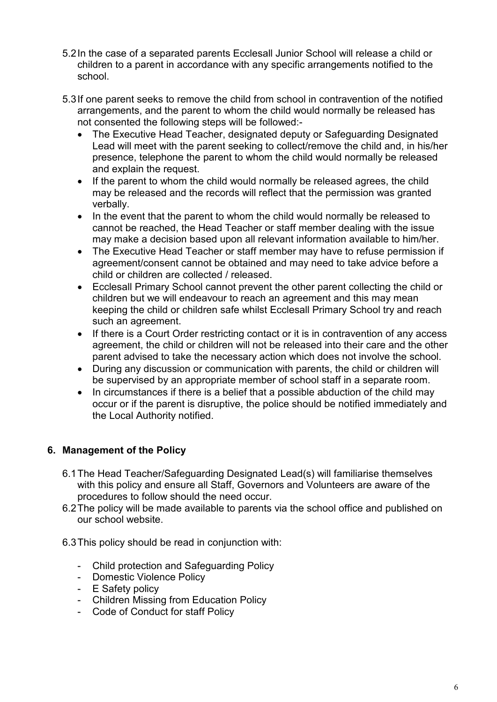- 5.2In the case of a separated parents Ecclesall Junior School will release a child or children to a parent in accordance with any specific arrangements notified to the school.
- 5.3If one parent seeks to remove the child from school in contravention of the notified arrangements, and the parent to whom the child would normally be released has not consented the following steps will be followed:-
	- The Executive Head Teacher, designated deputy or Safeguarding Designated Lead will meet with the parent seeking to collect/remove the child and, in his/her presence, telephone the parent to whom the child would normally be released and explain the request.
	- If the parent to whom the child would normally be released agrees, the child may be released and the records will reflect that the permission was granted verbally.
	- In the event that the parent to whom the child would normally be released to cannot be reached, the Head Teacher or staff member dealing with the issue may make a decision based upon all relevant information available to him/her.
	- The Executive Head Teacher or staff member may have to refuse permission if agreement/consent cannot be obtained and may need to take advice before a child or children are collected / released.
	- Ecclesall Primary School cannot prevent the other parent collecting the child or children but we will endeavour to reach an agreement and this may mean keeping the child or children safe whilst Ecclesall Primary School try and reach such an agreement.
	- If there is a Court Order restricting contact or it is in contravention of any access agreement, the child or children will not be released into their care and the other parent advised to take the necessary action which does not involve the school.
	- During any discussion or communication with parents, the child or children will be supervised by an appropriate member of school staff in a separate room.
	- In circumstances if there is a belief that a possible abduction of the child may occur or if the parent is disruptive, the police should be notified immediately and the Local Authority notified.

# **6. Management of the Policy**

- 6.1The Head Teacher/Safeguarding Designated Lead(s) will familiarise themselves with this policy and ensure all Staff, Governors and Volunteers are aware of the procedures to follow should the need occur.
- 6.2The policy will be made available to parents via the school office and published on our school website.
- 6.3This policy should be read in conjunction with:
	- Child protection and Safeguarding Policy
	- Domestic Violence Policy
	- E Safety policy
	- Children Missing from Education Policy
	- Code of Conduct for staff Policy